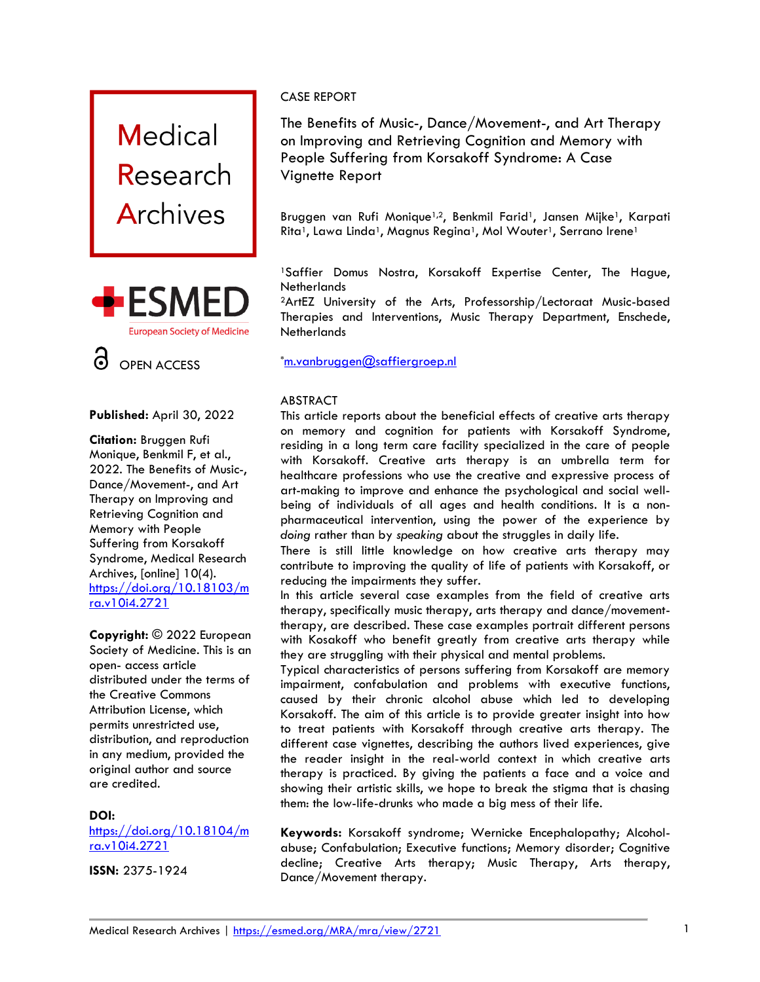



**Published:** April 30, 2022

**Citation:** Bruggen Rufi Monique, Benkmil F, et al., 2022. The Benefits of Music-, Dance/Movement-, and Art Therapy on Improving and Retrieving Cognition and Memory with People Suffering from Korsakoff Syndrome, Medical Research Archives, [online] 10(4). [https://doi.org/10.18103/m](https://doi.org/10.18103/mra.v10i4.2721) [ra.v10i4.2721](https://doi.org/10.18103/mra.v10i4.2721)

**Copyright:** © 2022 European Society of Medicine. This is an open- access article distributed under the terms of the Creative Commons Attribution License, which permits unrestricted use, distribution, and reproduction in any medium, provided the original author and source are credited.

### **DOI:**

[https://doi.org/10.18104/m](https://doi.org/10.18104/mra.v10i4.2721) [ra.v10i4.2721](https://doi.org/10.18104/mra.v10i4.2721)

**ISSN:** 2375-1924

# CASE REPORT

The Benefits of Music-, Dance/Movement-, and Art Therapy on Improving and Retrieving Cognition and Memory with People Suffering from Korsakoff Syndrome: A Case Vignette Report

Bruggen van Rufi Monique<sup>1,2</sup>, Benkmil Farid<sup>1</sup>, Jansen Mijke<sup>1</sup>, Karpati Rita<sup>1</sup>, Lawa Linda<sup>1</sup>, Magnus Regina<sup>1</sup>, Mol Wouter<sup>1</sup>, Serrano Irene<sup>1</sup>

<sup>1</sup>Saffier Domus Nostra, Korsakoff Expertise Center, The Hague, **Netherlands** 

<sup>2</sup>ArtEZ University of the Arts, Professorship/Lectoraat Music-based Therapies and Interventions, Music Therapy Department, Enschede, **Netherlands** 

### \*[m.vanbruggen@saffiergroep.nl](mailto:m.vanbruggen@saffiergroep.nl)

#### ABSTRACT

This article reports about the beneficial effects of creative arts therapy on memory and cognition for patients with Korsakoff Syndrome, residing in a long term care facility specialized in the care of people with Korsakoff. Creative arts therapy is an umbrella term for healthcare professions who use the creative and expressive process of art-making to improve and enhance the psychological and social wellbeing of individuals of all ages and health conditions. It is a nonpharmaceutical intervention, using the power of the experience by *doing* rather than by *speaking* about the struggles in daily life.

There is still little knowledge on how creative arts therapy may contribute to improving the quality of life of patients with Korsakoff, or reducing the impairments they suffer.

In this article several case examples from the field of creative arts therapy, specifically music therapy, arts therapy and dance/movementtherapy, are described. These case examples portrait different persons with Kosakoff who benefit greatly from creative arts therapy while they are struggling with their physical and mental problems.

Typical characteristics of persons suffering from Korsakoff are memory impairment, confabulation and problems with executive functions, caused by their chronic alcohol abuse which led to developing Korsakoff. The aim of this article is to provide greater insight into how to treat patients with Korsakoff through creative arts therapy. The different case vignettes, describing the authors lived experiences, give the reader insight in the real-world context in which creative arts therapy is practiced. By giving the patients a face and a voice and showing their artistic skills, we hope to break the stigma that is chasing them: the low-life-drunks who made a big mess of their life.

**Keywords:** Korsakoff syndrome; Wernicke Encephalopathy; Alcoholabuse; Confabulation; Executive functions; Memory disorder; Cognitive decline; Creative Arts therapy; Music Therapy, Arts therapy, Dance/Movement therapy.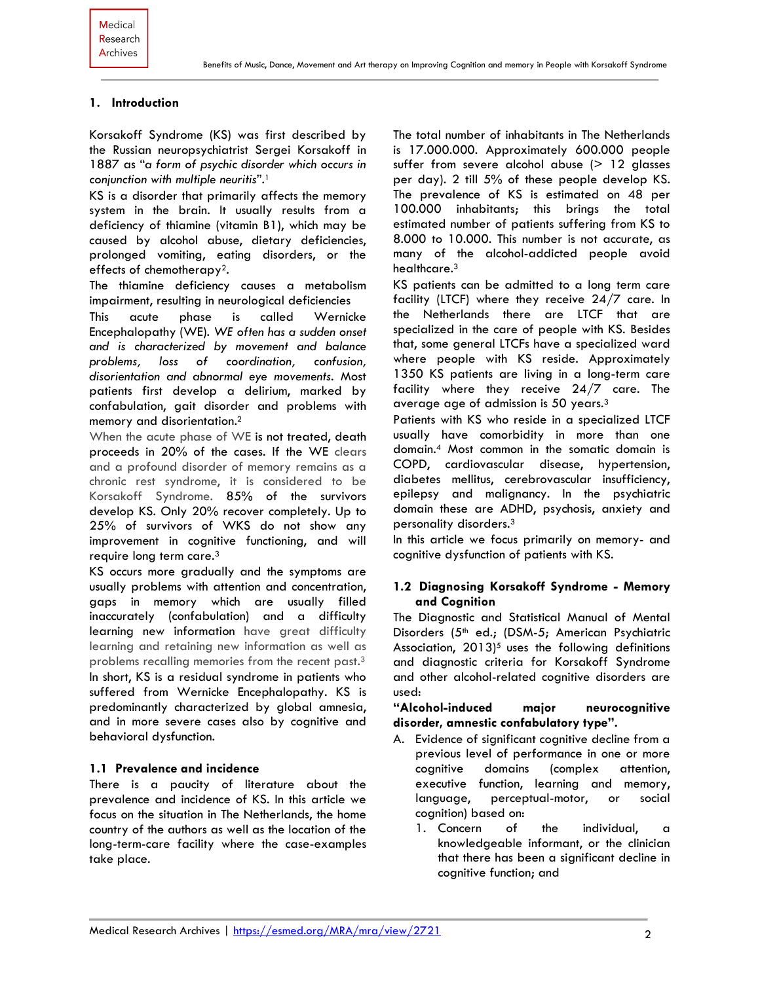# **1. Introduction**

Korsakoff Syndrome (KS) was first described by the Russian neuropsychiatrist Sergei Korsakoff in 1887 as "*a form of psychic disorder which occurs in conjunction with multiple neuritis*". 1

KS is a disorder that primarily affects the memory system in the brain. It usually results from a deficiency of thiamine (vitamin B1), which may be caused by alcohol abuse, dietary deficiencies, prolonged vomiting, eating disorders, or the effects of chemotherapy2.

The thiamine deficiency causes a metabolism impairment, resulting in neurological deficiencies

This acute phase is called Wernicke Encephalopathy (WE). *WE often has a sudden onset and is characterized by movement and balance problems, loss of coordination, confusion, disorientation and abnormal eye movements.* Most patients first develop a delirium, marked by confabulation, gait disorder and problems with memory and disorientation. 2

When the acute phase of WE is not treated, death proceeds in 20% of the cases. If the WE clears and a profound disorder of memory remains as a chronic rest syndrome, it is considered to be Korsakoff Syndrome. 85% of the survivors develop KS. Only 20% recover completely. Up to 25% of survivors of WKS do not show any improvement in cognitive functioning, and will require long term care.<sup>3</sup>

KS occurs more gradually and the symptoms are usually problems with attention and concentration, gaps in memory which are usually filled inaccurately (confabulation) and a difficulty learning new information have great difficulty learning and retaining new information as well as problems recalling memories from the recent past.<sup>3</sup> In short, KS is a residual syndrome in patients who suffered from Wernicke Encephalopathy. KS is predominantly characterized by global amnesia, and in more severe cases also by cognitive and behavioral dysfunction.

# **1.1 Prevalence and incidence**

There is a paucity of literature about the prevalence and incidence of KS. In this article we focus on the situation in The Netherlands, the home country of the authors as well as the location of the long-term-care facility where the case-examples take place.

The total number of inhabitants in The Netherlands is 17.000.000. Approximately 600.000 people suffer from severe alcohol abuse  $(> 12$  glasses per day). 2 till 5% of these people develop KS. The prevalence of KS is estimated on 48 per 100.000 inhabitants; this brings the total estimated number of patients suffering from KS to 8.000 to 10.000. This number is not accurate, as many of the alcohol-addicted people avoid healthcare.<sup>3</sup>

KS patients can be admitted to a long term care facility (LTCF) where they receive 24/7 care. In the Netherlands there are LTCF that are specialized in the care of people with KS. Besides that, some general LTCFs have a specialized ward where people with KS reside. Approximately 1350 KS patients are living in a long-term care facility where they receive 24/7 care. The average age of admission is 50 years. 3

Patients with KS who reside in a specialized LTCF usually have comorbidity in more than one domain. <sup>4</sup> Most common in the somatic domain is COPD, cardiovascular disease, hypertension, diabetes mellitus, cerebrovascular insufficiency, epilepsy and malignancy. In the psychiatric domain these are ADHD, psychosis, anxiety and personality disorders. 3

In this article we focus primarily on memory- and cognitive dysfunction of patients with KS.

### **1.2 Diagnosing Korsakoff Syndrome - Memory and Cognition**

The Diagnostic and Statistical Manual of Mental Disorders (5<sup>th</sup> ed.; (DSM-5; American Psychiatric Association,  $2013$ <sup>5</sup> uses the following definitions and diagnostic criteria for Korsakoff Syndrome and other alcohol-related cognitive disorders are used:

**"Alcohol-induced major neurocognitive disorder, amnestic confabulatory type".**

- A. Evidence of significant cognitive decline from a previous level of performance in one or more cognitive domains (complex attention, executive function, learning and memory, language, perceptual-motor, or social cognition) based on:
	- 1. Concern of the individual, a knowledgeable informant, or the clinician that there has been a significant decline in cognitive function; and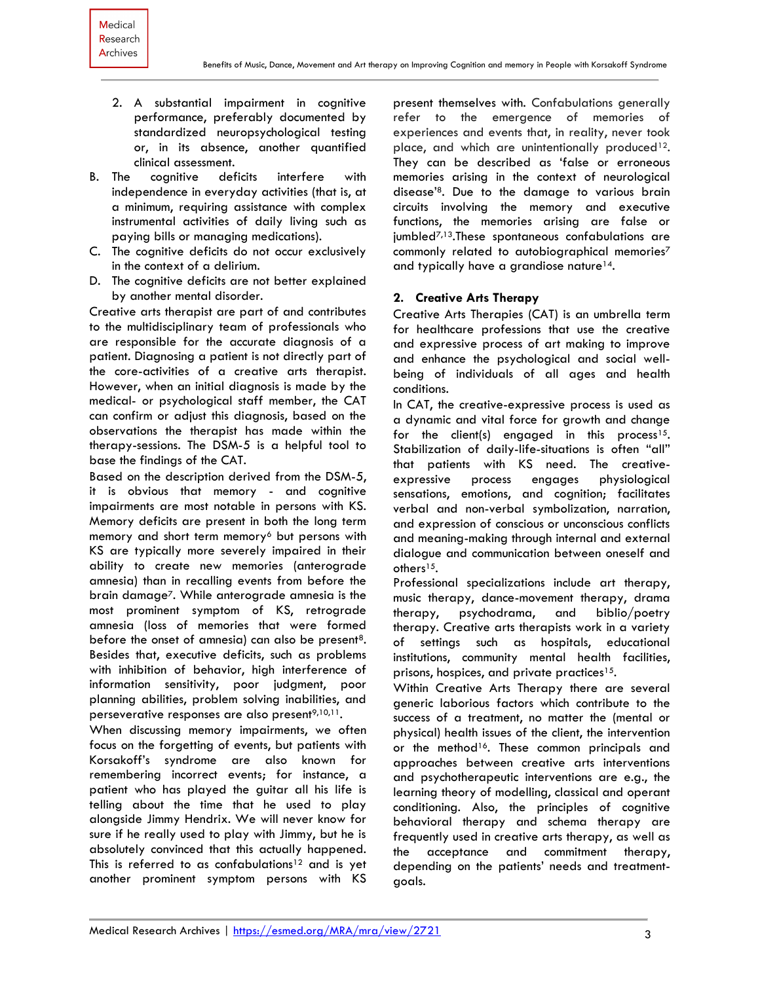- 2. A substantial impairment in cognitive performance, preferably documented by standardized neuropsychological testing or, in its absence, another quantified clinical assessment.
- B. The cognitive deficits interfere with independence in everyday activities (that is, at a minimum, requiring assistance with complex instrumental activities of daily living such as paying bills or managing medications).
- C. The cognitive deficits do not occur exclusively in the context of a delirium.
- D. The cognitive deficits are not better explained by another mental disorder.

Creative arts therapist are part of and contributes to the multidisciplinary team of professionals who are responsible for the accurate diagnosis of a patient. Diagnosing a patient is not directly part of the core-activities of a creative arts therapist. However, when an initial diagnosis is made by the medical- or psychological staff member, the CAT can confirm or adjust this diagnosis, based on the observations the therapist has made within the therapy-sessions. The DSM-5 is a helpful tool to base the findings of the CAT.

Based on the description derived from the DSM-5, it is obvious that memory - and cognitive impairments are most notable in persons with KS. Memory deficits are present in both the long term memory and short term memory<sup>6</sup> but persons with KS are typically more severely impaired in their ability to create new memories (anterograde amnesia) than in recalling events from before the brain damage7. While anterograde amnesia is the most prominent symptom of KS, retrograde amnesia (loss of memories that were formed before the onset of amnesia) can also be present<sup>8</sup>. Besides that, executive deficits, such as problems with inhibition of behavior, high interference of information sensitivity, poor judgment, poor planning abilities, problem solving inabilities, and perseverative responses are also present<sup>9,10,11</sup>.

When discussing memory impairments, we often focus on the forgetting of events, but patients with Korsakoff's syndrome are also known for remembering incorrect events; for instance, a patient who has played the guitar all his life is telling about the time that he used to play alongside Jimmy Hendrix. We will never know for sure if he really used to play with Jimmy, but he is absolutely convinced that this actually happened. This is referred to as confabulations<sup>12</sup> and is yet another prominent symptom persons with KS present themselves with. Confabulations generally refer to the emergence of memories of experiences and events that, in reality, never took place, and which are unintentionally produced<sup>12</sup>. They can be described as 'false or erroneous memories arising in the context of neurological disease'8. Due to the damage to various brain circuits involving the memory and executive functions, the memories arising are false or jumbled7,13.These spontaneous confabulations are commonly related to autobiographical memories<sup>7</sup> and typically have a grandiose nature<sup>14</sup>.

#### **2. Creative Arts Therapy**

Creative Arts Therapies (CAT) is an umbrella term for healthcare professions that use the creative and expressive process of art making to improve and enhance the psychological and social wellbeing of individuals of all ages and health conditions.

In CAT, the creative-expressive process is used as a dynamic and vital force for growth and change for the client(s) engaged in this process<sup>15</sup>. Stabilization of daily-life-situations is often "all" that patients with KS need. The creativeexpressive process engages physiological sensations, emotions, and cognition; facilitates verbal and non-verbal symbolization, narration, and expression of conscious or unconscious conflicts and meaning-making through internal and external dialogue and communication between oneself and others<sup>15</sup>.

Professional specializations include art therapy, music therapy, dance-movement therapy, drama therapy, psychodrama, and biblio/poetry therapy. Creative arts therapists work in a variety of settings such as hospitals, educational institutions, community mental health facilities, prisons, hospices, and private practices<sup>15</sup>.

Within Creative Arts Therapy there are several generic laborious factors which contribute to the success of a treatment, no matter the (mental or physical) health issues of the client, the intervention or the method<sup>16</sup>. These common principals and approaches between creative arts interventions and psychotherapeutic interventions are e.g., the learning theory of modelling, classical and operant conditioning. Also, the principles of cognitive behavioral therapy and schema therapy are frequently used in creative arts therapy, as well as the acceptance and commitment therapy, depending on the patients' needs and treatmentgoals.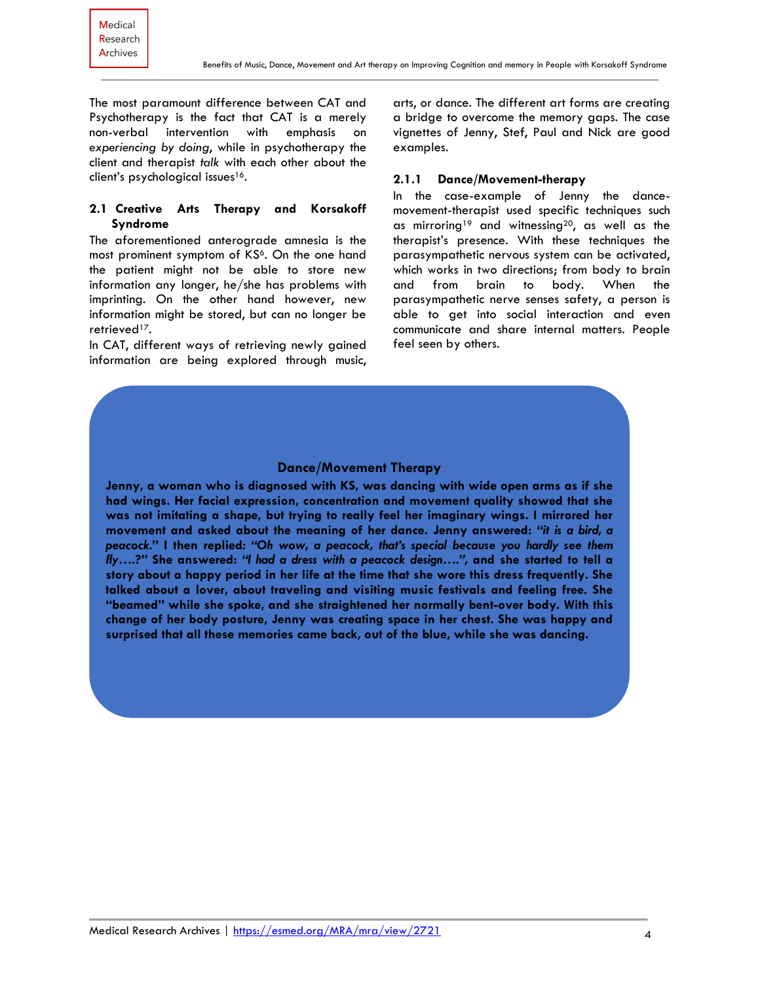The most paramount difference between CAT and Psychotherapy is the fact that CAT is a merely non-verbal intervention with emphasis on *experiencing by doing*, while in psychotherapy the client and therapist *talk* with each other about the client's psychological issues<sup>16</sup>.

# **2.1 Creative Arts Therapy and Korsakoff Syndrome**

The aforementioned anterograde amnesia is the most prominent symptom of KS<sup>6</sup>. On the one hand the patient might not be able to store new information any longer, he/she has problems with imprinting. On the other hand however, new information might be stored, but can no longer be retrieved<sup>17</sup>.

In CAT, different ways of retrieving newly gained information are being explored through music, arts, or dance. The different art forms are creating a bridge to overcome the memory gaps. The case vignettes of Jenny, Stef, Paul and Nick are good examples.

#### **2.1.1 Dance/Movement-therapy**

In the case-example of Jenny the dancemovement-therapist used specific techniques such as mirroring<sup>19</sup> and witnessing20, as well as the therapist's presence. With these techniques the parasympathetic nervous system can be activated, which works in two directions; from body to brain and from brain to body. When the parasympathetic nerve senses safety, a person is able to get into social interaction and even communicate and share internal matters. People feel seen by others.

#### **Dance/Movement Therapy**

**Jenny, a woman who is diagnosed with KS, was dancing with wide open arms as if she had wings. Her facial expression, concentration and movement quality showed that she was not imitating a shape, but trying to really feel her imaginary wings. I mirrored her movement and asked about the meaning of her dance. Jenny answered:** *"it is a bird, a peacock."* **I then replied***: "Oh wow, a peacock, that's special because you hardly see them fly….?"* **She answered:** *"I had a dress with a peacock design….",* **and she started to tell a story about a happy period in her life at the time that she wore this dress frequently. She talked about a lover, about traveling and visiting music festivals and feeling free. She "beamed" while she spoke, and she straightened her normally bent-over body. With this change of her body posture, Jenny was creating space in her chest. She was happy and surprised that all these memories came back, out of the blue, while she was dancing.**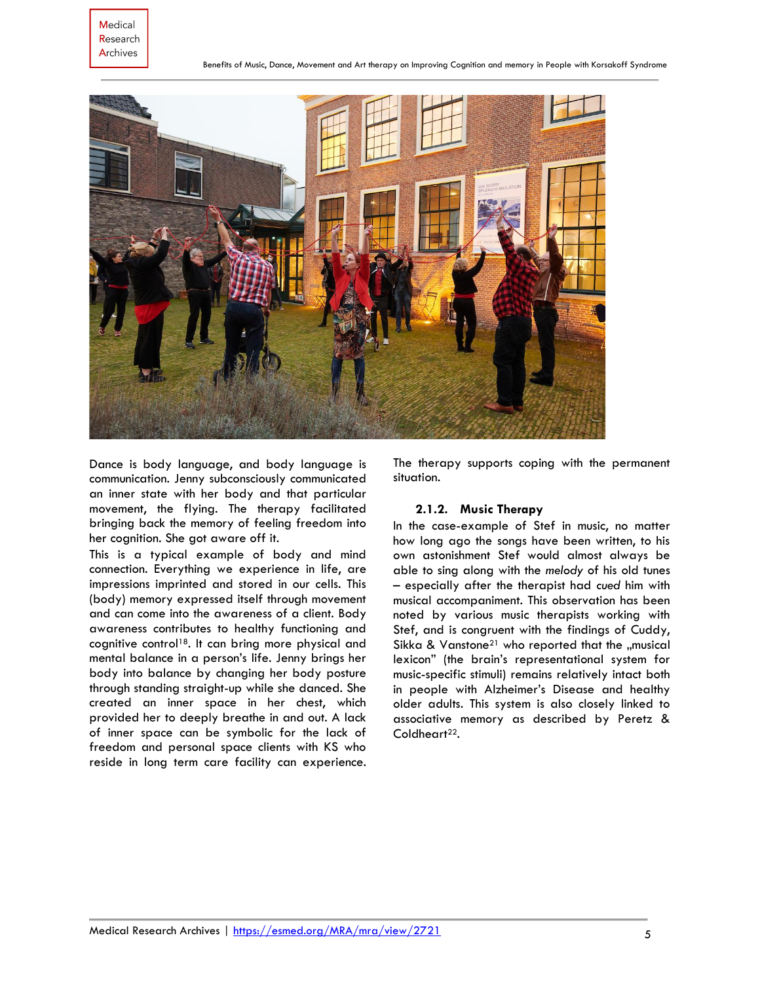

Dance is body language, and body language is communication. Jenny subconsciously communicated an inner state with her body and that particular movement, the flying. The therapy facilitated bringing back the memory of feeling freedom into her cognition. She got aware off it.

This is a typical example of body and mind connection. Everything we experience in life, are impressions imprinted and stored in our cells. This (body) memory expressed itself through movement and can come into the awareness of a client. Body awareness contributes to healthy functioning and cognitive control<sup>18</sup>. It can bring more physical and mental balance in a person's life. Jenny brings her body into balance by changing her body posture through standing straight-up while she danced. She created an inner space in her chest, which provided her to deeply breathe in and out. A lack of inner space can be symbolic for the lack of freedom and personal space clients with KS who reside in long term care facility can experience.

The therapy supports coping with the permanent situation.

#### **2.1.2. Music Therapy**

In the case-example of Stef in music, no matter how long ago the songs have been written, to his own astonishment Stef would almost always be able to sing along with the *melody* of his old tunes – especially after the therapist had *cued* him with musical accompaniment. This observation has been noted by various music therapists working with Stef, and is congruent with the findings of Cuddy, Sikka & Vanstone<sup>21</sup> who reported that the "musical lexicon" (the brain's representational system for music-specific stimuli) remains relatively intact both in people with Alzheimer's Disease and healthy older adults. This system is also closely linked to associative memory as described by Peretz & Coldheart<sup>22</sup>.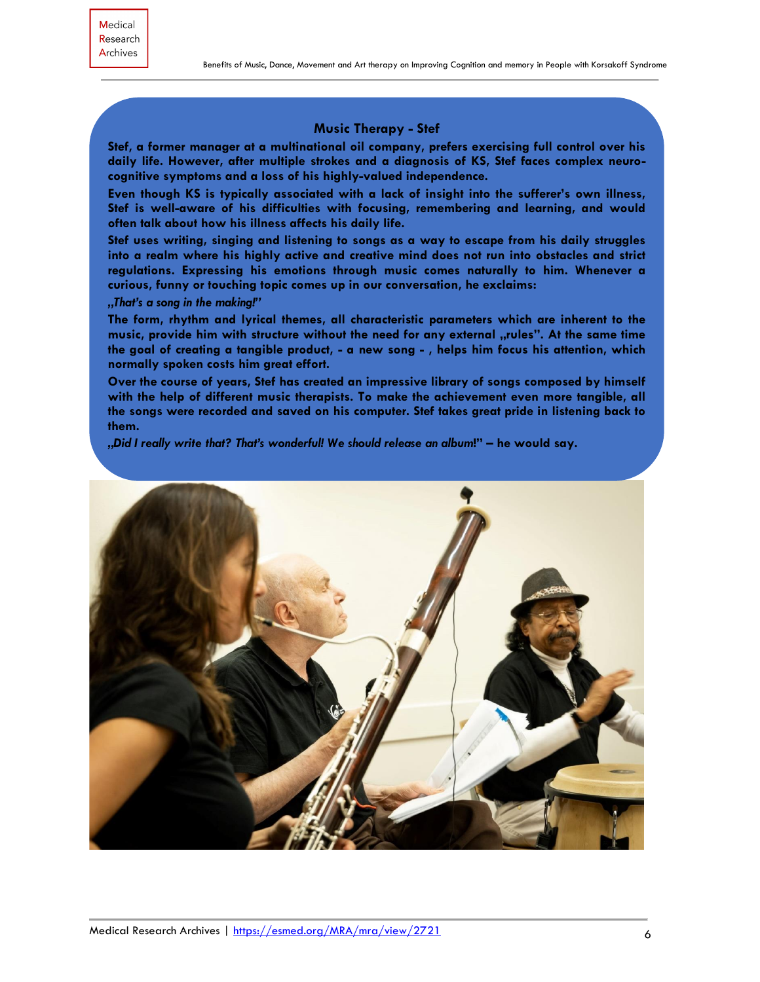### **Music Therapy - Stef**

**Stef, a former manager at a multinational oil company, prefers exercising full control over his daily life. However, after multiple strokes and a diagnosis of KS, Stef faces complex neurocognitive symptoms and a loss of his highly-valued independence.** 

**Even though KS is typically associated with a lack of insight into the sufferer's own illness, Stef is well-aware of his difficulties with focusing, remembering and learning, and would often talk about how his illness affects his daily life.** 

**Stef uses writing, singing and listening to songs as a way to escape from his daily struggles into a realm where his highly active and creative mind does not run into obstacles and strict regulations. Expressing his emotions through music comes naturally to him. Whenever a curious, funny or touching topic comes up in our conversation, he exclaims:**

#### *"That's a song in the making!"*

**The form, rhythm and lyrical themes, all characteristic parameters which are inherent to the** music, provide him with structure without the need for any external "rules". At the same time **the goal of creating a tangible product, - a new song - , helps him focus his attention, which normally spoken costs him great effort.** 

**Over the course of years, Stef has created an impressive library of songs composed by himself with the help of different music therapists. To make the achievement even more tangible, all the songs were recorded and saved on his computer. Stef takes great pride in listening back to them.**

*"Did I really write that? That's wonderful! We should release an album***!" – he would say.**

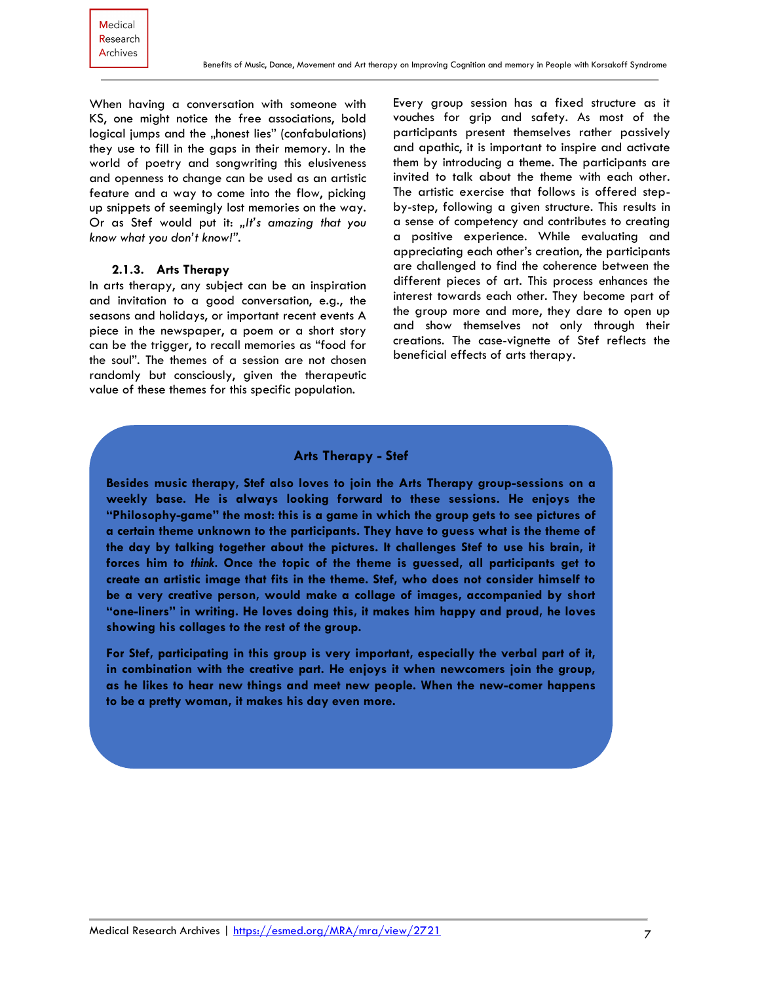When having a conversation with someone with KS, one might notice the free associations, bold logical jumps and the "honest lies" (confabulations) they use to fill in the gaps in their memory. In the world of poetry and songwriting this elusiveness and openness to change can be used as an artistic feature and a way to come into the flow, picking up snippets of seemingly lost memories on the way. Or as Stef would put it: "It's amazing that you *know what you don't know!".*

#### **2.1.3. Arts Therapy**

In arts therapy, any subject can be an inspiration and invitation to a good conversation, e.g., the seasons and holidays, or important recent events A piece in the newspaper, a poem or a short story can be the trigger, to recall memories as "food for the soul". The themes of a session are not chosen randomly but consciously, given the therapeutic value of these themes for this specific population.

Every group session has a fixed structure as it vouches for grip and safety. As most of the participants present themselves rather passively and apathic, it is important to inspire and activate them by introducing a theme. The participants are invited to talk about the theme with each other. The artistic exercise that follows is offered stepby-step, following a given structure. This results in a sense of competency and contributes to creating a positive experience. While evaluating and appreciating each other's creation, the participants are challenged to find the coherence between the different pieces of art. This process enhances the interest towards each other. They become part of the group more and more, they dare to open up and show themselves not only through their creations. The case-vignette of Stef reflects the beneficial effects of arts therapy.

# **Arts Therapy - Stef**

**Besides music therapy, Stef also loves to join the Arts Therapy group-sessions on a weekly base. He is always looking forward to these sessions. He enjoys the "Philosophy-game" the most: this is a game in which the group gets to see pictures of a certain theme unknown to the participants. They have to guess what is the theme of the day by talking together about the pictures. It challenges Stef to use his brain, it forces him to** *think.* **Once the topic of the theme is guessed, all participants get to create an artistic image that fits in the theme. Stef, who does not consider himself to be a very creative person, would make a collage of images, accompanied by short "one-liners" in writing. He loves doing this, it makes him happy and proud, he loves showing his collages to the rest of the group.** 

**For Stef, participating in this group is very important, especially the verbal part of it, in combination with the creative part. He enjoys it when newcomers join the group, as he likes to hear new things and meet new people. When the new-comer happens to be a pretty woman, it makes his day even more.**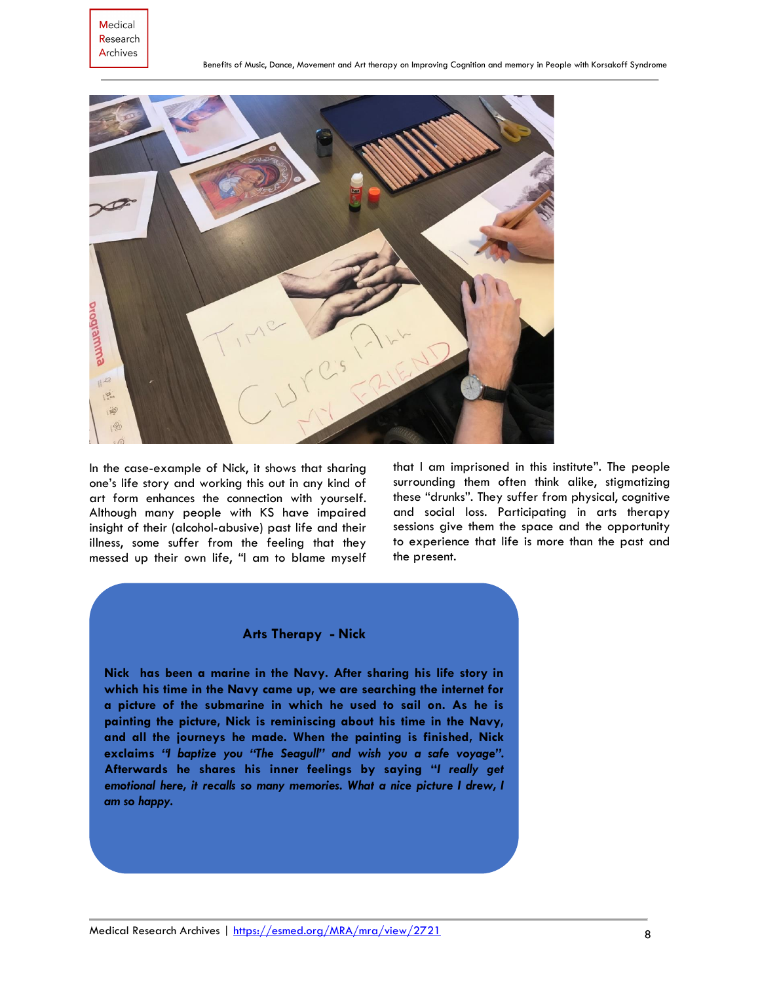

In the case-example of Nick, it shows that sharing one's life story and working this out in any kind of art form enhances the connection with yourself. Although many people with KS have impaired insight of their (alcohol-abusive) past life and their illness, some suffer from the feeling that they messed up their own life, "I am to blame myself

that I am imprisoned in this institute". The people surrounding them often think alike, stigmatizing these "drunks". They suffer from physical, cognitive and social loss. Participating in arts therapy sessions give them the space and the opportunity to experience that life is more than the past and the present.

### **Arts Therapy - Nick**

**Nick has been a marine in the Navy. After sharing his life story in which his time in the Navy came up, we are searching the internet for a picture of the submarine in which he used to sail on. As he is painting the picture, Nick is reminiscing about his time in the Navy, and all the journeys he made. When the painting is finished, Nick exclaims** *"I baptize you "The Seagull" and wish you a safe voyage".* **Afterwards he shares his inner feelings by saying "***I really get*  emotional here, it recalls so many memories. What a nice picture I drew, I *am so happy.*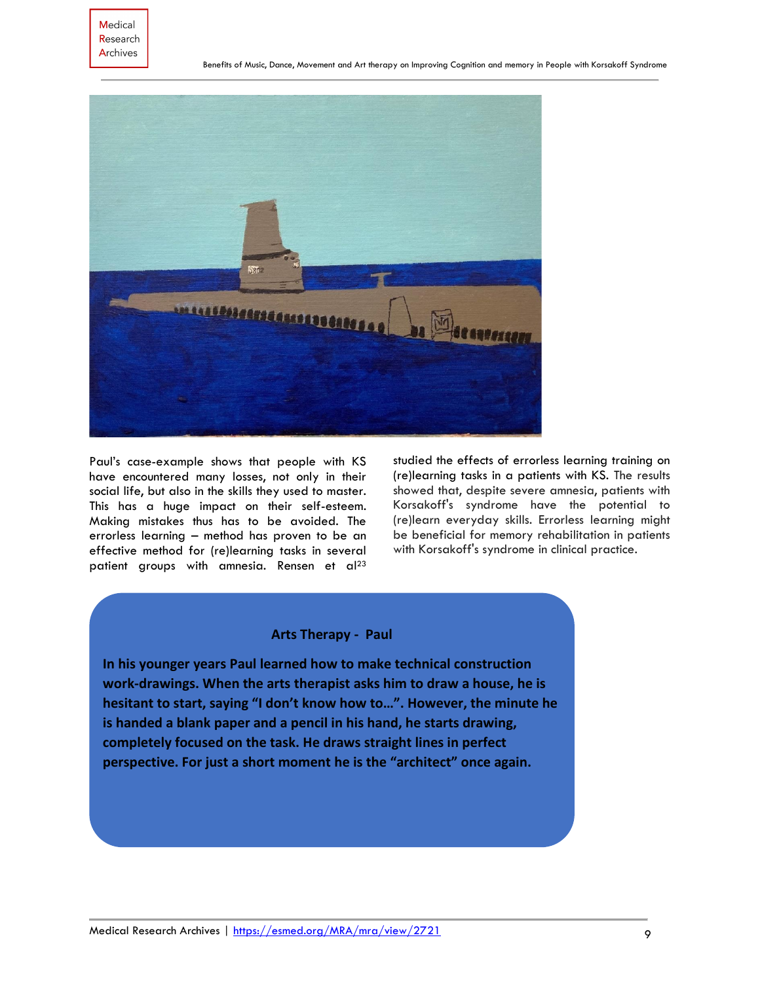

Paul's case-example shows that people with KS have encountered many losses, not only in their social life, but also in the skills they used to master. This has a huge impact on their self-esteem. Making mistakes thus has to be avoided. The errorless learning – method has proven to be an effective method for (re)learning tasks in several patient groups with amnesia. Rensen et al 23

studied the effects of errorless learning training on (re)learning tasks in a patients with KS. The results showed that, despite severe amnesia, patients with Korsakoff's syndrome have the potential to (re)learn everyday skills. Errorless learning might be beneficial for memory rehabilitation in patients with Korsakoff's syndrome in clinical practice.

# **Arts Therapy - Paul**

**In his younger years Paul learned how to make technical construction work-drawings. When the arts therapist asks him to draw a house, he is hesitant to start, saying "I don't know how to…". However, the minute he is handed a blank paper and a pencil in his hand, he starts drawing, completely focused on the task. He draws straight lines in perfect perspective. For just a short moment he is the "architect" once again.**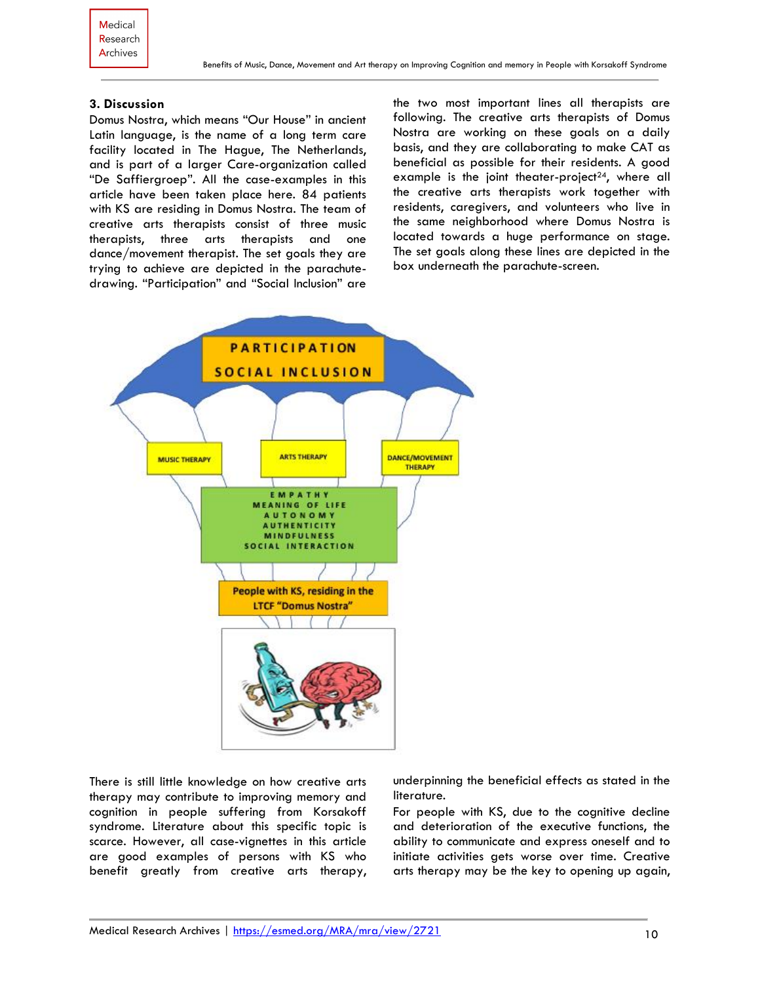# **3. Discussion**

Domus Nostra, which means "Our House" in ancient Latin language, is the name of a long term care facility located in The Hague, The Netherlands, and is part of a larger Care-organization called "De Saffiergroep". All the case-examples in this article have been taken place here. 84 patients with KS are residing in Domus Nostra. The team of creative arts therapists consist of three music therapists, three arts therapists and one dance/movement therapist. The set goals they are trying to achieve are depicted in the parachutedrawing. "Participation" and "Social Inclusion" are the two most important lines all therapists are following. The creative arts therapists of Domus Nostra are working on these goals on a daily basis, and they are collaborating to make CAT as beneficial as possible for their residents. A good example is the joint theater-project<sup>24</sup>, where all the creative arts therapists work together with residents, caregivers, and volunteers who live in the same neighborhood where Domus Nostra is located towards a huge performance on stage. The set goals along these lines are depicted in the box underneath the parachute-screen.



There is still little knowledge on how creative arts therapy may contribute to improving memory and cognition in people suffering from Korsakoff syndrome. Literature about this specific topic is scarce. However, all case-vignettes in this article are good examples of persons with KS who benefit greatly from creative arts therapy, underpinning the beneficial effects as stated in the literature.

For people with KS, due to the cognitive decline and deterioration of the executive functions, the ability to communicate and express oneself and to initiate activities gets worse over time. Creative arts therapy may be the key to opening up again,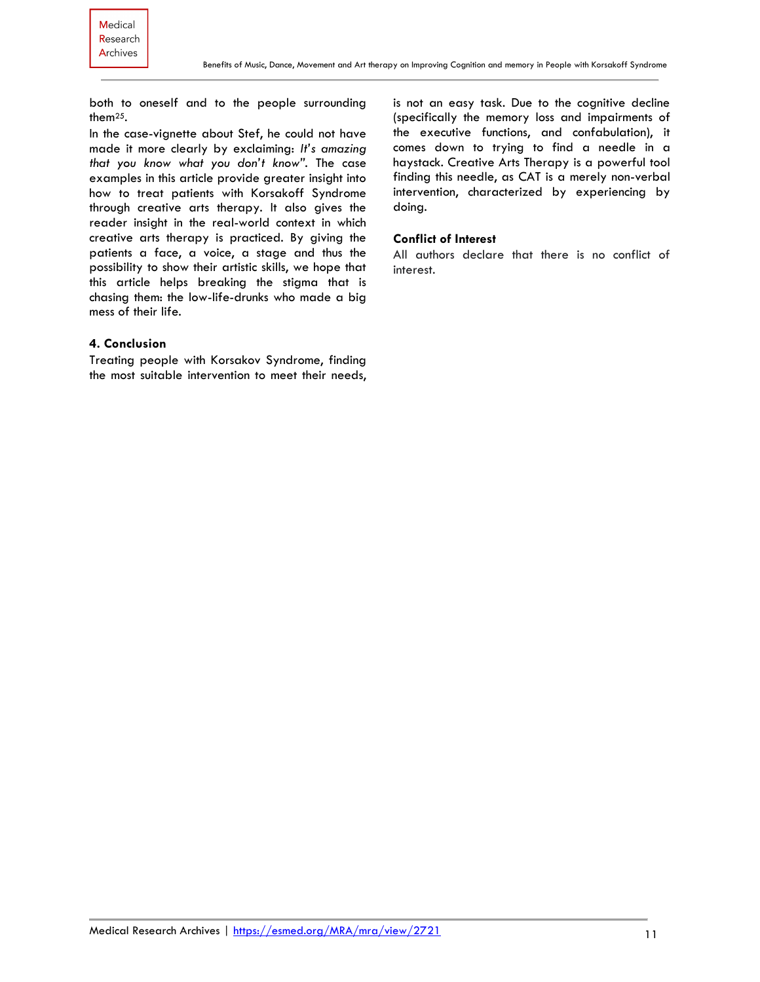both to oneself and to the people surrounding them25.

In the case-vignette about Stef, he could not have made it more clearly by exclaiming: *It's amazing that you know what you don't know".* The case examples in this article provide greater insight into how to treat patients with Korsakoff Syndrome through creative arts therapy. It also gives the reader insight in the real-world context in which creative arts therapy is practiced. By giving the patients a face, a voice, a stage and thus the possibility to show their artistic skills, we hope that this article helps breaking the stigma that is chasing them: the low-life-drunks who made a big mess of their life.

#### **4. Conclusion**

Treating people with Korsakov Syndrome, finding the most suitable intervention to meet their needs, is not an easy task. Due to the cognitive decline (specifically the memory loss and impairments of the executive functions, and confabulation), it comes down to trying to find a needle in a haystack. Creative Arts Therapy is a powerful tool finding this needle, as CAT is a merely non-verbal intervention, characterized by experiencing by doing.

#### **Conflict of Interest**

All authors declare that there is no conflict of interest.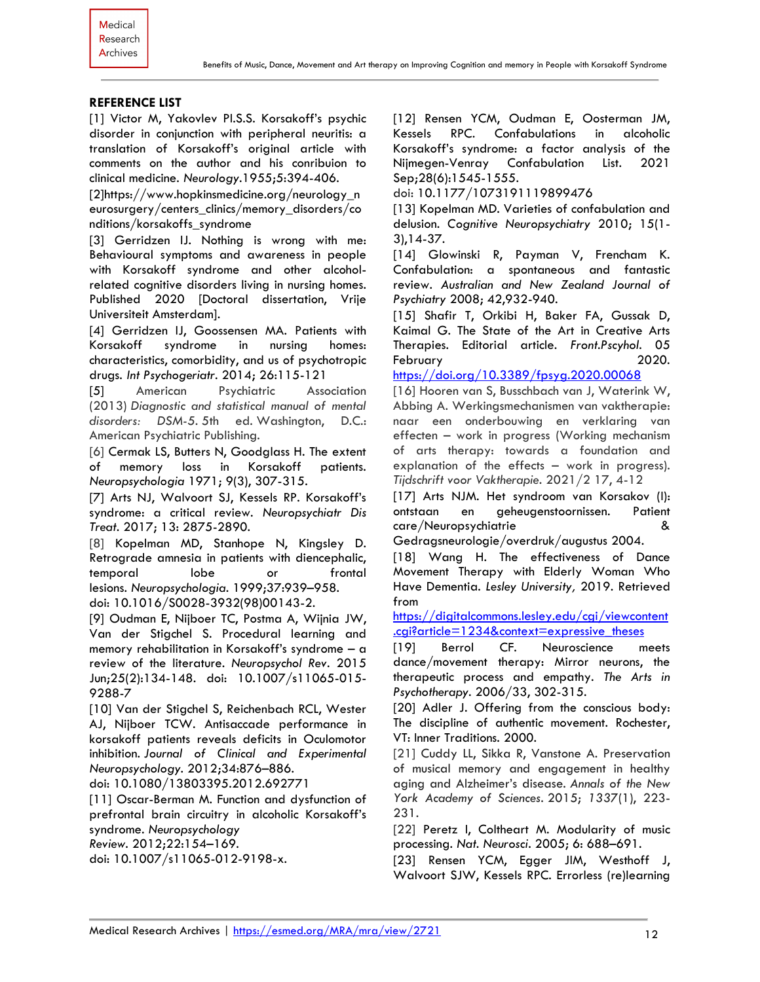# **REFERENCE LIST**

[1] Victor M, Yakovlev PI.S.S. Korsakoff's psychic disorder in conjunction with peripheral neuritis: a translation of Korsakoff's original article with comments on the author and his conribuion to clinical medicine. *Neurology.*1955;5:394-406.

[2]https://www.hopkinsmedicine.org/neurology\_n eurosurgery/centers\_clinics/memory\_disorders/co nditions/korsakoffs\_syndrome

[3] Gerridzen IJ. Nothing is wrong with me: Behavioural symptoms and awareness in people with Korsakoff syndrome and other alcoholrelated cognitive disorders living in nursing homes. Published 2020 [Doctoral dissertation, Vrije Universiteit Amsterdam].

[4] Gerridzen IJ, Goossensen MA. Patients with Korsakoff syndrome in nursing homes: characteristics, comorbidity, and us of psychotropic drugs. *Int Psychogeriatr.* 2014; 26:115-121

[5] American Psychiatric Association (2013) *Diagnostic and statistical manual of mental disorders: DSM-5.* 5th ed. Washington, D.C.: American Psychiatric Publishing.

[6] Cermak LS, Butters N, Goodglass H. The extent of memory loss in Korsakoff patients. *Neuropsychologia* 1971; 9(3), 307-315.

[7] Arts NJ, Walvoort SJ, Kessels RP. Korsakoff's syndrome: a critical review. *Neuropsychiatr Dis Treat.* 2017; 13: 2875-2890.

[8] Kopelman MD, Stanhope N, Kingsley D. Retrograde amnesia in patients with diencephalic, temporal lobe or frontal lesions. *Neuropsychologia.* 1999;37:939–958.

doi: 10.1016/S0028-3932(98)00143-2.

[9] Oudman E, Nijboer TC, Postma A, Wijnia JW, Van der Stigchel S. Procedural learning and memory rehabilitation in Korsakoff's syndrome – a review of the literature. *Neuropsychol Rev.* 2015 Jun;25(2):134-148. doi: 10.1007/s11065-015- 9288-7

[10] Van der Stigchel S, Reichenbach RCL, Wester AJ, Nijboer TCW. Antisaccade performance in korsakoff patients reveals deficits in Oculomotor inhibition. *Journal of Clinical and Experimental Neuropsychology.* 2012;34:876–886.

doi: 10.1080/13803395.2012.692771

[11] Oscar-Berman M. Function and dysfunction of prefrontal brain circuitry in alcoholic Korsakoff's syndrome. *Neuropsychology* 

*Review.* 2012;22:154–169.

doi: 10.1007/s11065-012-9198-x.

[12] Rensen YCM, Oudman E, Oosterman JM, Kessels RPC. Confabulations in alcoholic Korsakoff's syndrome: a factor analysis of the Nijmegen-Venray Confabulation List. 2021 Sep;28(6):1545-1555.

doi: [10.1177/1073191119899476](https://doi.org/10.1177/1073191119899476)

[13] Kopelman MD. Varieties of confabulation and delusion. *Cognitive Neuropsychiatry* 2010; 15(1- 3),14-37.

[14] Glowinski R, Payman V, Frencham K. Confabulation: a spontaneous and fantastic review. *Australian and New Zealand Journal of Psychiatry* 2008; 42,932-940.

[15] Shafir T, Orkibi H, Baker FA, Gussak D, Kaimal G. The State of the Art in Creative Arts Therapies. Editorial article. *Front.Pscyhol.* 05 February 2020.

<https://doi.org/10.3389/fpsyg.2020.00068>

[16] Hooren van S, Busschbach van J, Waterink W, Abbing A. Werkingsmechanismen van vaktherapie: naar een onderbouwing en verklaring van effecten – work in progress (Working mechanism of arts therapy: towards a foundation and explanation of the effects – work in progress). *Tijdschrift voor Vaktherapie*. 2021/2 17, 4-12

[17] Arts NJM. Het syndroom van Korsakov (I): ontstaan en geheugenstoornissen. Patient care/Neuropsychiatrie &

Gedragsneurologie/overdruk/augustus 2004.

[18] Wang H. The effectiveness of Dance Movement Therapy with Elderly Woman Who Have Dementia. *Lesley University,* 2019. Retrieved from

[https://digitalcommons.lesley.edu/cgi/viewcontent](https://digitalcommons.lesley.edu/cgi/viewcontent.cgi?article=1234&context=expressive_theses) [.cgi?article=1234&context=expressive\\_theses](https://digitalcommons.lesley.edu/cgi/viewcontent.cgi?article=1234&context=expressive_theses)

[19] Berrol CF. Neuroscience meets dance/movement therapy: Mirror neurons, the therapeutic process and empathy. *The Arts in Psychotherapy*. 2006/33, 302-315.

[20] Adler J*.* Offering from the conscious body: The discipline of authentic movement. Rochester, VT: Inner Traditions. 2000.

[21] Cuddy LL, Sikka R, Vanstone A. Preservation of musical memory and engagement in healthy aging and Alzheimer's disease. *Annals of the New York Academy of Sciences*. 2015; *1337*(1), 223- 231.

[22] Peretz I, Coltheart M. Modularity of music processing. *Nat. Neurosci.* 2005; 6: 688–691.

[23] Rensen YCM, Egger JIM, Westhoff J, Walvoort SJW, Kessels RPC. Errorless (re)learning